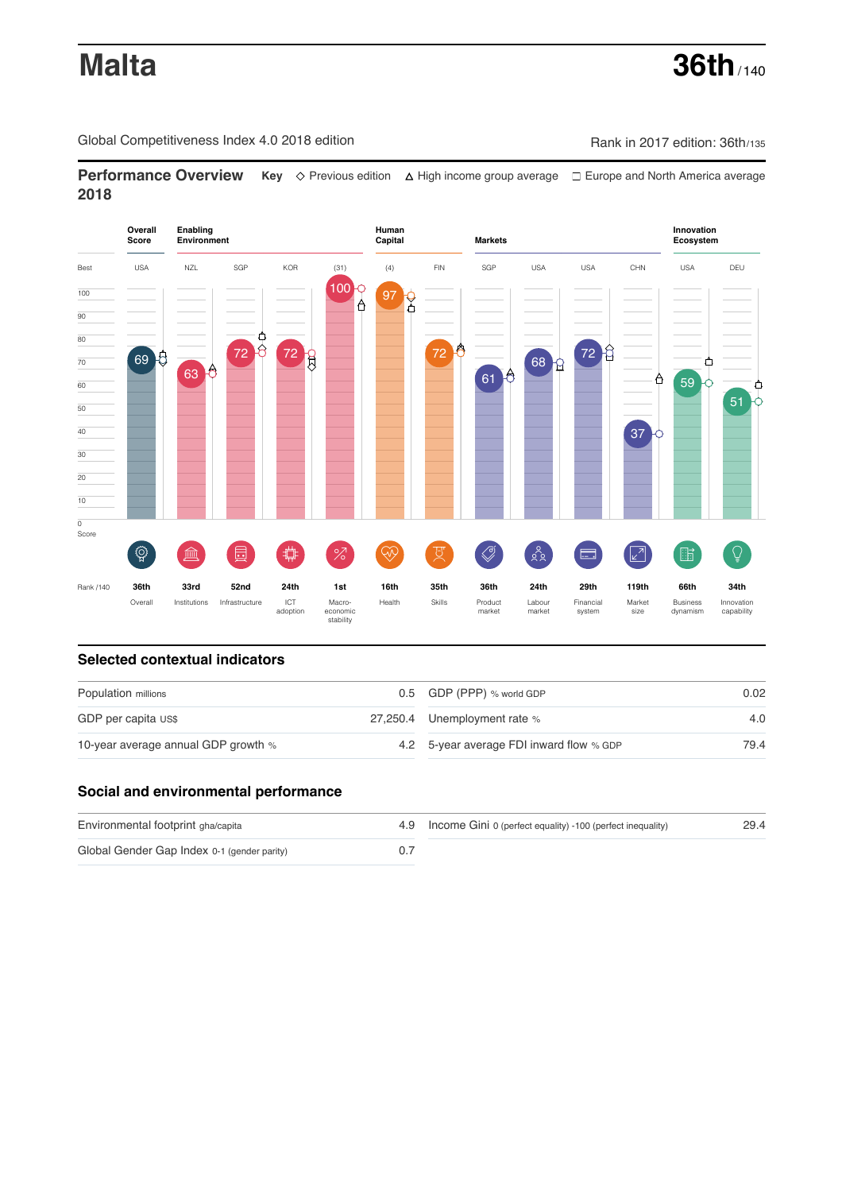**Malta 36th** / 140

Global Competitiveness Index 4.0 2018 edition Company Rank in 2017 edition: 36th/135

**Performance Overview** Key  $\Diamond$  Previous edition ∆ High income group average  $\Box$  Europe and North America average **2018**



### **Selected contextual indicators**

| Population millions                 |  | 0.5 GDP (PPP) % world GDP                | 0.02 |  |
|-------------------------------------|--|------------------------------------------|------|--|
| GDP per capita US\$                 |  | 27,250.4 Unemployment rate %             | 4.0  |  |
| 10-year average annual GDP growth % |  | 4.2 5-year average FDI inward flow % GDP | 79.4 |  |

# **Social and environmental performance**

| Environmental footprint gha/capita          | 4.9 Income Gini 0 (perfect equality) -100 (perfect inequality) | 29.4 |
|---------------------------------------------|----------------------------------------------------------------|------|
| Global Gender Gap Index 0-1 (gender parity) |                                                                |      |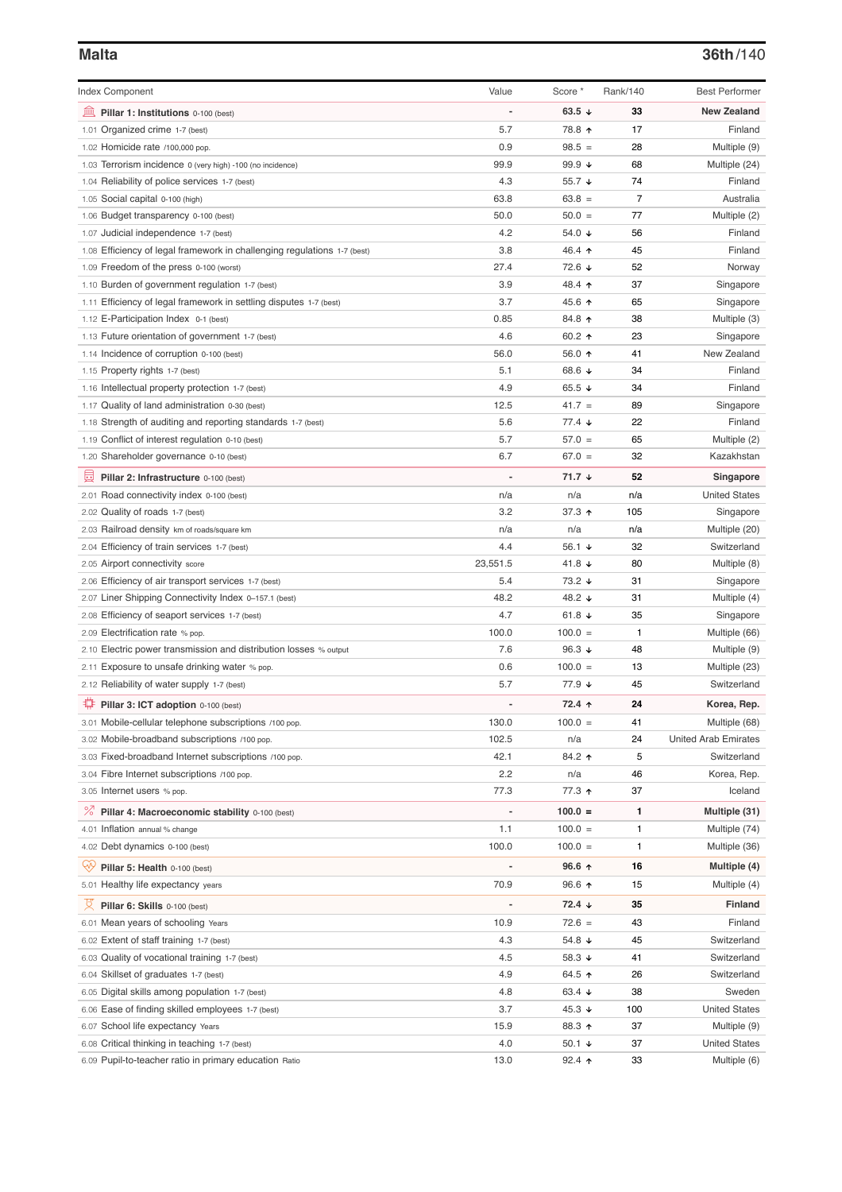## **Malta 36th**/140

| <b>Index Component</b>                                                   | Value          | Score *              | Rank/140       | <b>Best Performer</b>       |
|--------------------------------------------------------------------------|----------------|----------------------|----------------|-----------------------------|
| 寙<br>Pillar 1: Institutions 0-100 (best)                                 |                | 63.5 $\sqrt{ }$      | 33             | <b>New Zealand</b>          |
| 1.01 Organized crime 1-7 (best)                                          | 5.7            | 78.8 ↑               | 17             | Finland                     |
| 1.02 Homicide rate /100,000 pop.                                         | 0.9            | $98.5 =$             | 28             | Multiple (9)                |
| 1.03 Terrorism incidence 0 (very high) -100 (no incidence)               | 99.9           | 99.9 $\sqrt{ }$      | 68             | Multiple (24)               |
| 1.04 Reliability of police services 1-7 (best)                           | 4.3            | 55.7 $\sqrt{ }$      | 74             | Finland                     |
| 1.05 Social capital 0-100 (high)                                         | 63.8           | $63.8 =$             | $\overline{7}$ | Australia                   |
| 1.06 Budget transparency 0-100 (best)                                    | 50.0           | $50.0 =$             | 77             | Multiple (2)                |
| 1.07 Judicial independence 1-7 (best)                                    | 4.2            | 54.0 $\sqrt{ }$      | 56             | Finland                     |
| 1.08 Efficiency of legal framework in challenging regulations 1-7 (best) | 3.8            | 46.4 ↑               | 45             | Finland                     |
| 1.09 Freedom of the press 0-100 (worst)                                  | 27.4           | 72.6 ↓               | 52             | Norway                      |
| 1.10 Burden of government regulation 1-7 (best)                          | 3.9            | 48.4 ↑               | 37             | Singapore                   |
| 1.11 Efficiency of legal framework in settling disputes 1-7 (best)       | 3.7            | 45.6 ↑               | 65             | Singapore                   |
| 1.12 E-Participation Index 0-1 (best)                                    | 0.85           | 84.8 ↑               | 38             | Multiple (3)                |
| 1.13 Future orientation of government 1-7 (best)                         | 4.6            | 60.2 $\uparrow$      | 23             | Singapore                   |
| 1.14 Incidence of corruption 0-100 (best)                                | 56.0           | 56.0 ↑               | 41             | New Zealand                 |
| 1.15 Property rights 1-7 (best)                                          | 5.1            | 68.6 ↓               | 34             | Finland                     |
| 1.16 Intellectual property protection 1-7 (best)                         | 4.9            | 65.5 $\sqrt{ }$      | 34             | Finland                     |
| 1.17 Quality of land administration 0-30 (best)                          | 12.5           | $41.7 =$             | 89             | Singapore                   |
| 1.18 Strength of auditing and reporting standards 1-7 (best)             | 5.6            | $77.4 \; \downarrow$ | 22             | Finland                     |
| 1.19 Conflict of interest regulation 0-10 (best)                         | 5.7            | $57.0 =$             | 65             | Multiple (2)                |
| 1.20 Shareholder governance 0-10 (best)                                  | 6.7            | $67.0 =$             | 32             | Kazakhstan                  |
|                                                                          | $\overline{a}$ | $71.7 +$             | 52             |                             |
| 囩<br>Pillar 2: Infrastructure 0-100 (best)                               |                |                      |                | Singapore                   |
| 2.01 Road connectivity index 0-100 (best)                                | n/a            | n/a                  | n/a            | <b>United States</b>        |
| 2.02 Quality of roads 1-7 (best)                                         | 3.2            | 37.3 $\uparrow$      | 105            | Singapore                   |
| 2.03 Railroad density km of roads/square km                              | n/a            | n/a                  | n/a            | Multiple (20)               |
| 2.04 Efficiency of train services 1-7 (best)                             | 4.4            | 56.1 $\sqrt{ }$      | 32             | Switzerland                 |
| 2.05 Airport connectivity score                                          | 23,551.5       | 41.8 $\sqrt{ }$      | 80             | Multiple (8)                |
| 2.06 Efficiency of air transport services 1-7 (best)                     | 5.4            | 73.2 ↓               | 31             | Singapore                   |
| 2.07 Liner Shipping Connectivity Index 0-157.1 (best)                    | 48.2           | 48.2 ↓               | 31             | Multiple (4)                |
| 2.08 Efficiency of seaport services 1-7 (best)                           | 4.7            | 61.8 $\sqrt{ }$      | 35             | Singapore                   |
| 2.09 Electrification rate % pop.                                         | 100.0          | $100.0 =$            | 1              | Multiple (66)               |
| 2.10 Electric power transmission and distribution losses % output        | 7.6            | 96.3 $\sqrt{ }$      | 48             | Multiple (9)                |
| 2.11 Exposure to unsafe drinking water % pop.                            | 0.6            | $100.0 =$            | 13             | Multiple (23)               |
| 2.12 Reliability of water supply 1-7 (best)                              | 5.7            | 77.9 ↓               | 45             | Switzerland                 |
| Pillar 3: ICT adoption 0-100 (best)                                      |                | 72.4 ↑               | 24             | Korea, Rep.                 |
| 3.01 Mobile-cellular telephone subscriptions /100 pop.                   | 130.0          | $100.0 =$            | 41             | Multiple (68)               |
| 3.02 Mobile-broadband subscriptions /100 pop.                            | 102.5          | n/a                  | 24             | <b>United Arab Emirates</b> |
| 3.03 Fixed-broadband Internet subscriptions /100 pop.                    | 42.1           | 84.2 ↑               | 5              | Switzerland                 |
| 3.04 Fibre Internet subscriptions /100 pop.                              | 2.2            | n/a                  | 46             | Korea, Rep.                 |
| 3.05 Internet users % pop.                                               | 77.3           | 77.3 ↑               | 37             | Iceland                     |
| ℅<br>Pillar 4: Macroeconomic stability 0-100 (best)                      | -              | $100.0 =$            | 1              | Multiple (31)               |
| 4.01 Inflation annual % change                                           | 1.1            | $100.0 =$            | 1              | Multiple (74)               |
| 4.02 Debt dynamics 0-100 (best)                                          | 100.0          | $100.0 =$            | 1              | Multiple (36)               |
| Qÿ<br>Pillar 5: Health 0-100 (best)                                      | 1              | 96.6 $\uparrow$      | 16             | Multiple (4)                |
| 5.01 Healthy life expectancy years                                       | 70.9           | $96.6$ ↑             | 15             | Multiple (4)                |
| 섯<br>Pillar 6: Skills 0-100 (best)                                       | -              | $72.4 \; \downarrow$ | 35             | Finland                     |
| 6.01 Mean years of schooling Years                                       | 10.9           | $72.6 =$             | 43             | Finland                     |
| 6.02 Extent of staff training 1-7 (best)                                 | 4.3            | 54.8 $\sqrt{ }$      | 45             | Switzerland                 |
| 6.03 Quality of vocational training 1-7 (best)                           | 4.5            | 58.3 $\sqrt{ }$      | 41             | Switzerland                 |
| 6.04 Skillset of graduates 1-7 (best)                                    | 4.9            | 64.5 ↑               | 26             | Switzerland                 |
| 6.05 Digital skills among population 1-7 (best)                          | 4.8            | 63.4 $\sqrt{ }$      | 38             | Sweden                      |
| 6.06 Ease of finding skilled employees 1-7 (best)                        | 3.7            | 45.3 $\sqrt{ }$      | 100            | <b>United States</b>        |
| 6.07 School life expectancy Years                                        | 15.9           | 88.3 ↑               | 37             | Multiple (9)                |
| 6.08 Critical thinking in teaching 1-7 (best)                            | 4.0            | 50.1 $\sqrt{ }$      | 37             | <b>United States</b>        |
| 6.09 Pupil-to-teacher ratio in primary education Ratio                   | 13.0           | $92.4$ ↑             | 33             | Multiple (6)                |
|                                                                          |                |                      |                |                             |